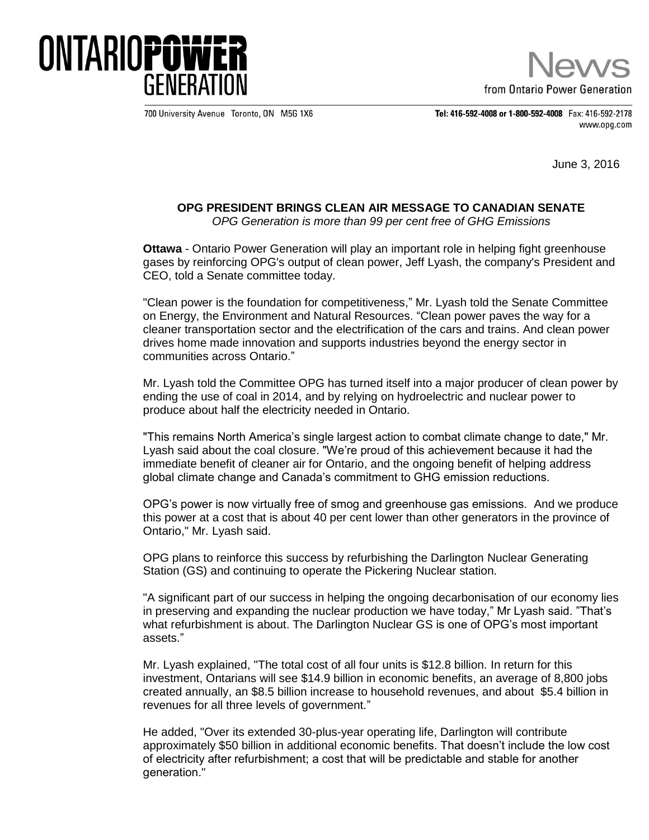

from Ontario Power Generation

700 University Avenue Toronto, ON M5G 1X6

Tel: 416-592-4008 or 1-800-592-4008 Fax: 416-592-2178 www.opg.com

June 3, 2016

## **OPG PRESIDENT BRINGS CLEAN AIR MESSAGE TO CANADIAN SENATE**

*OPG Generation is more than 99 per cent free of GHG Emissions*

**Ottawa** - Ontario Power Generation will play an important role in helping fight greenhouse gases by reinforcing OPG's output of clean power, Jeff Lyash, the company's President and CEO, told a Senate committee today.

"Clean power is the foundation for competitiveness," Mr. Lyash told the Senate Committee on Energy, the Environment and Natural Resources. "Clean power paves the way for a cleaner transportation sector and the electrification of the cars and trains. And clean power drives home made innovation and supports industries beyond the energy sector in communities across Ontario."

Mr. Lyash told the Committee OPG has turned itself into a major producer of clean power by ending the use of coal in 2014, and by relying on hydroelectric and nuclear power to produce about half the electricity needed in Ontario.

"This remains North America's single largest action to combat climate change to date," Mr. Lyash said about the coal closure. "We're proud of this achievement because it had the immediate benefit of cleaner air for Ontario, and the ongoing benefit of helping address global climate change and Canada's commitment to GHG emission reductions.

OPG's power is now virtually free of smog and greenhouse gas emissions. And we produce this power at a cost that is about 40 per cent lower than other generators in the province of Ontario," Mr. Lyash said.

OPG plans to reinforce this success by refurbishing the Darlington Nuclear Generating Station (GS) and continuing to operate the Pickering Nuclear station.

"A significant part of our success in helping the ongoing decarbonisation of our economy lies in preserving and expanding the nuclear production we have today," Mr Lyash said. "That's what refurbishment is about. The Darlington Nuclear GS is one of OPG's most important assets."

Mr. Lyash explained, "The total cost of all four units is \$12.8 billion. In return for this investment, Ontarians will see \$14.9 billion in economic benefits, an average of 8,800 jobs created annually, an \$8.5 billion increase to household revenues, and about \$5.4 billion in revenues for all three levels of government."

He added, "Over its extended 30-plus-year operating life, Darlington will contribute approximately \$50 billion in additional economic benefits. That doesn't include the low cost of electricity after refurbishment; a cost that will be predictable and stable for another generation."